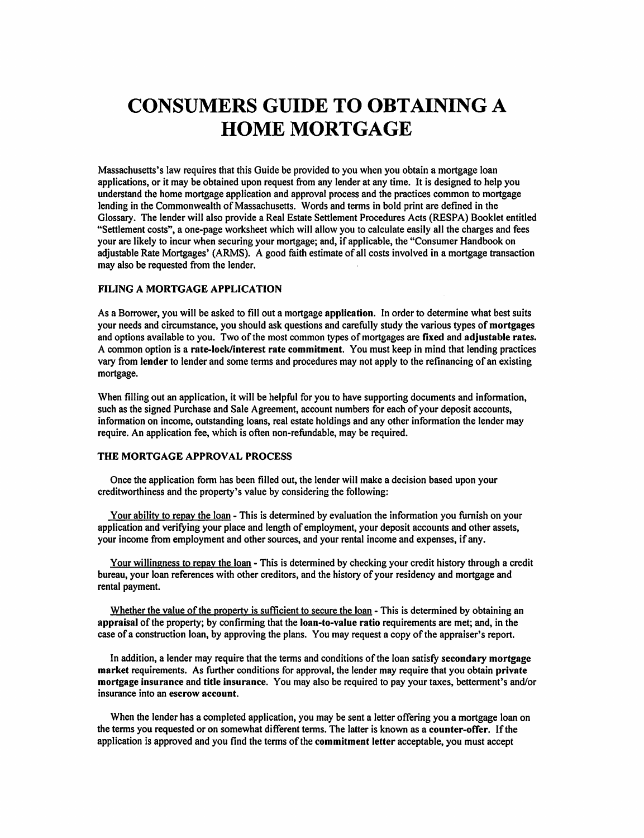# **CONSUMERS GUIDE TO OBTAINING A HOME MORTGAGE**

Massachusetts's law requires that this Guide be provided to you when you obtain a mortgage loan applications, or it may be obtained upon request from any lender at any time. It is designed to help you understand the home mortgage application and approval process and the practices common to mortgage lending in the Commonwealth of Massachusetts. Words and terms in bold print are defined in the Glossary. The lender will also provide a Real Estate Settlement Procedures Acts (RESPA) Booklet entitled "Settlement costs", a one-page worksheet which will allow you to calculate easily all the charges and fees your are likely to incur when securing your mortgage; and, if applicable, the "Consumer Handbook on adjustable Rate Mortgages' (ARMS). A good faith estimate of all costs involved in a mortgage transaction may also be requested from the lender.

# FILING A MORTGAGE APPLICATION

As a Borrower, you will be asked to fill out a mortgage application. In order to determine what best suits your needs and circumstance, you should ask questions and carefully study the various types of mortgages and options available to you. Two of the most common types of mortgages are fixed and adjustable rates. A common option is a rate-lock/interest rate commitment. You must keep in mind that lending practices vary from lender to lender and some terms and procedures may not apply to the refinancing of an existing mortgage.

When filling out an application, it will be helpful for you to have supporting documents and information, such as the signed Purchase and Sale Agreement, account numbers for each of your deposit accounts, information on income, outstanding loans, real estate holdings and any other information the lender may require. An application fee, which is often non-refundable, may be required.

# THE MORTGAGE APPROVAL PROCESS

Once the application form has been filled out, the lender will make a decision based upon your creditworthiness and the property's value by considering the following:

Your ability to repay the loan - This is determined by evaluation the information you furnish on your application and verifying your place and length of employment, your deposit accounts and other assets, your income from employment and other sources, and your rental income and expenses, if any.

Your willingness to repay the loan - This is determined by checking your credit history through a credit bureau, your loan references with other creditors, and the history of your residency and mortgage and rental payment.

Whether the value of the property is sufficient to secure the loan - This is determined by obtaining an appraisal of the property; by confirming that the loan-to-value ratio requirements are met; and, in the case of a construction loan, by approving the plans. You may request a copy of the appraiser's report.

In addition, a lender may require that the terms and conditions of the loan satisfy secondary mortgage market requirements. As further conditions for approval, the lender may require that you obtain private mortgage insurance and title insurance. You may also be required to pay your taxes, betterment's and/or insurance into an escrow account.

When the lender has a completed application, you may be sent a letter offering you a mortgage loan on the terms you requested or on somewhat different terms. The latter is known as a counter-offer. If the application is approved and you find the terms of the commitment letter acceptable, you must accept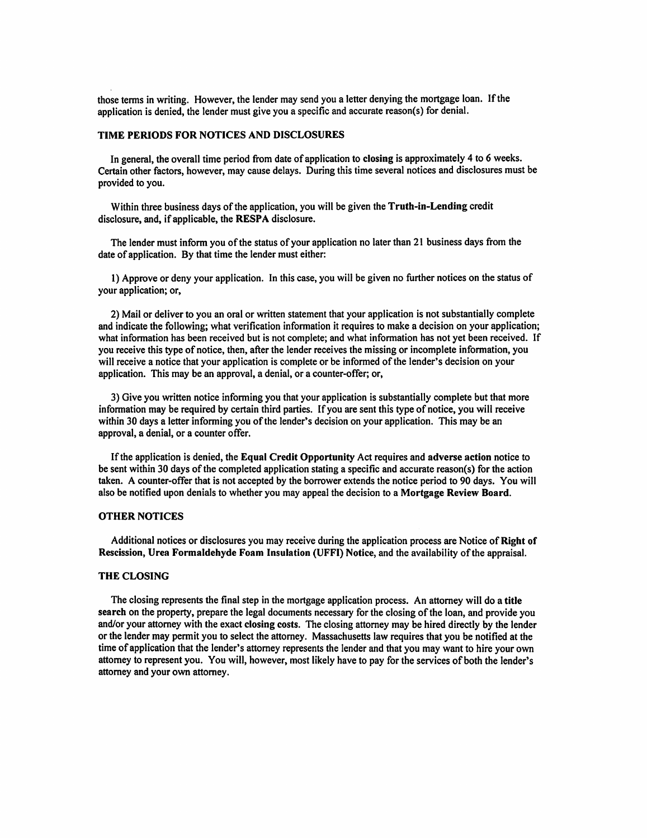those terms in writing. However, the lender may send you a letter denying the mortgage loan. If the application is denied, the lender must give you a specific and accurate reason(s) for denial.

# TIME PERIODS FOR NOTICES AND DISCLOSURES

In general, the overall time period from date of application to closing is approximately 4 to 6 weeks. Certain other factors, however, may cause delays. During this time several notices and disclosures must be provided to you.

Within three business days of the application, you will be given the Truth-in-Lending credit disclosure, and, if applicable, the RESPA disclosure.

The lender must inform you of the status of your application no later than 21 business days from the date of application. By that time the lender must either:

1) Approve or deny your application. In this case, you will be given no further notices on the status of your application; or,

2) Mail or deliver to you an oral or written statement that your application is not substantially complete and indicate the following; what verification information it requires to make a decision on your application; what information has been received but is not complete; and what information has not yet been received. If you receive this type of notice, then, after the lender receives the missing or incomplete information, you will receive a notice that your application is complete or be informed of the lender's decision on your application. This may be an approval, a denial, or a counter-offer; or,

3) Give you written notice informing you that your application is substantially complete but that more information may be required by certain third parties. If you are sent this type of notice, you will receive within 30 days a letter informing you of the lender's decision on your application. This may be an approval, a denial, or a counter offer.

If the application is denied, the Equal Credit Opportunity Act requires and adverse action notice to be sent within 30 days of the completed application stating a specific and accurate reason(s) for the action taken. A counter-offer that is not accepted by the borrower extends the notice period to 90 days. You will also be notified upon denials to whether you may appeal the decision to a Mortgage Review Board.

#### **OTHER NOTICES**

Additional notices or disclosures you may receive during the application process are Notice of Right of Rescission, Urea Formaldehyde Foam Insulation (UFFI) Notice, and the availability of the appraisal.

#### **THE CLOSING**

The closing represents the final step in the mortgage application process. An attorney will do a title search on the property, prepare the legal documents necessary for the closing of the loan, and provide you and/or your attorney with the exact closing costs. The closing attorney may be hired directly by the lender or the lender may permit you to select the attorney. Massachusetts law requires that you be notified at the time of application that the lender's attorney represents the lender and that you may want to hire your own attorney to represent you. You will, however, most likely have to pay for the services of both the lender's attorney and your own attorney.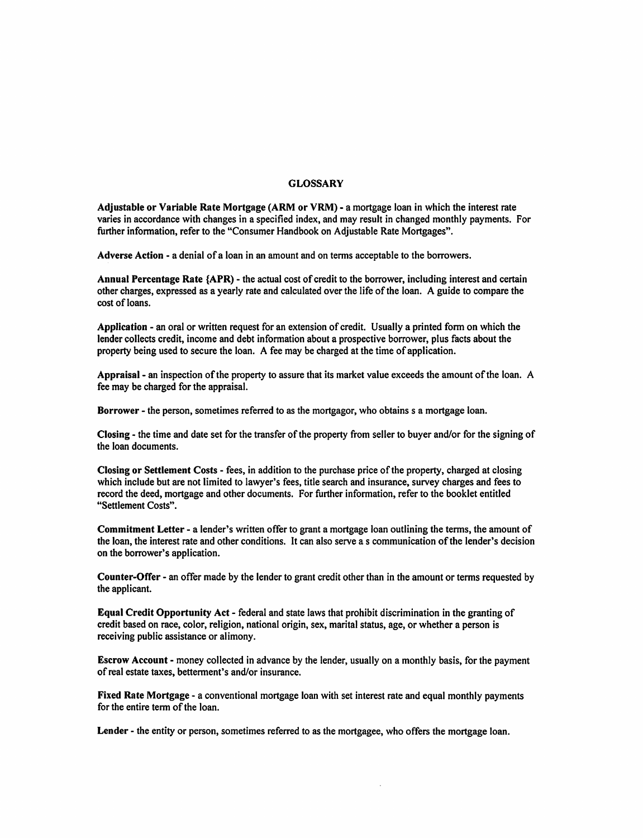# **GLOSSARY**

Adjustable or Variable Rate Mortgage (ARM or VRM) - a mortgage loan in which the interest rate varies in accordance with changes in a specified index, and may result in changed monthly payments. For further information, refer to the "Consumer Handbook on Adjustable Rate Mortgages".

Adverse Action - a denial of a loan in an amount and on terms acceptable to the borrowers.

Annual Percentage Rate {APR) - the actual cost of credit to the borrower, including interest and certain other charges, expressed as a yearly rate and calculated over the life of the loan. A guide to compare the cost of loans.

Application - an oral or written request for an extension of credit. Usually a printed form on which the lender collects credit, income and debt information about a prospective borrower, plus facts about the property being used to secure the loan. A fee may be charged at the time of application.

Appraisal - an inspection of the property to assure that its market value exceeds the amount of the loan. A fee may be charged for the appraisal.

Borrower - the person, sometimes referred to as the mortgagor, who obtains s a mortgage loan.

Closing - the time and date set for the transfer of the property from seller to buyer and/or for the signing of the loan documents.

Closing or Settlement Costs - fees, in addition to the purchase price of the property, charged at closing which include but are not limited to lawyer's fees, title search and insurance, survey charges and fees to record the deed, mortgage and other documents. For further information, refer to the booklet entitled "Settlement Costs".

Commitment Letter - a lender's written offer to grant a mortgage loan outlining the terms, the amount of the loan, the interest rate and other conditions. It can also serve a s communication of the lender's decision on the borrower's application.

Counter-Offer - an offer made by the lender to grant credit other than in the amount or terms requested by the applicant.

Equal Credit Opportunity Act - federal and state laws that prohibit discrimination in the granting of credit based on race, color, religion, national origin, sex, marital status, age, or whether a person is receiving public assistance or alimony.

**Escrow Account - money collected in advance by the lender, usually on a monthly basis, for the payment** of real estate taxes, betterment's and/or insurance.

Fixed Rate Mortgage - a conventional mortgage loan with set interest rate and equal monthly payments for the entire term of the loan.

Lender - the entity or person, sometimes referred to as the mortgagee, who offers the mortgage loan.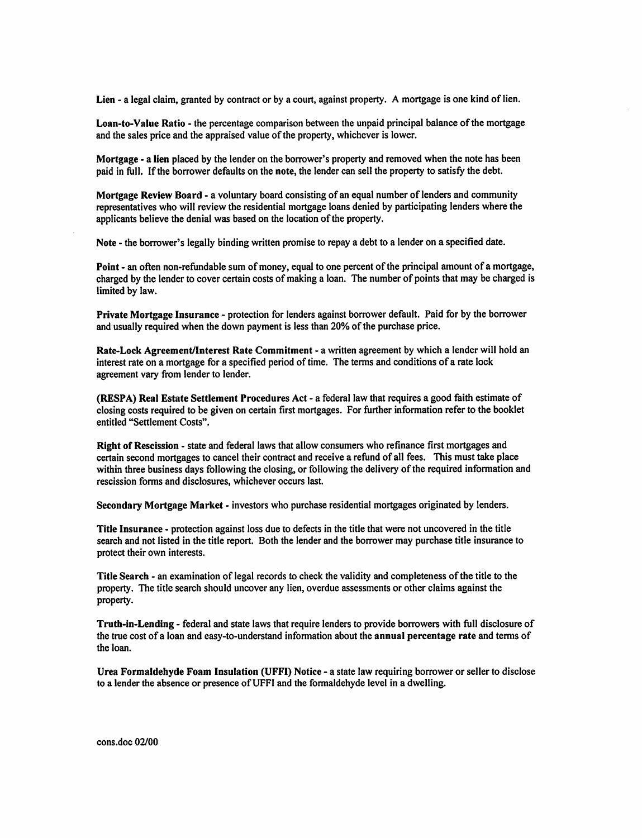Lien - a legal claim, granted by contract or by a court, against property. A mortgage is one kind of lien.

Loan-to-Value Ratio - the percentage comparison between the unpaid principal balance of the mortgage and the sales price and the appraised value of the property, whichever is lower.

Mortgage - a lien placed by the lender on the borrower's property and removed when the note has been paid in full. If the borrower defaults on the note, the lender can sell the property to satisfy the debt.

Mortgage Review Board - a voluntary board consisting of an equal number of lenders and community representatives who will review the residential mortgage loans denied by participating lenders where the applicants believe the denial was based on the location of the property.

Note - the borrower's legally binding written promise to repay a debt to a lender on a specified date.

Point - an often non-refundable sum of money, equal to one percent of the principal amount of a mortgage, charged by the lender to cover certain costs of making a loan. The number of points that may be charged is limited by law.

Private Mortgage Insurance - protection for lenders against borrower default. Paid for by the borrower and usually required when the down payment is less than 20% of the purchase price.

Rate-Lock Agreement/Interest Rate Commitment - a written agreement by which a lender will hold an interest rate on a mortgage for a specified period of time. The terms and conditions of a rate lock agreement vary from lender to lender.

(RESPA) Real Estate Settlement Procedures Act - a federal law that requires a good faith estimate of closing costs required to be given on certain first mortgages. For further information refer to the booklet entitled "Settlement Costs".

Right of Rescission - state and federal laws that allow consumers who refinance first mortgages and certain second mortgages to cancel their contract and receive a refund of all fees. This must take place within three business days following the closing, or following the delivery of the required information and rescission forms and disclosures, whichever occurs last.

Secondary Mortgage Market - investors who purchase residential mortgages originated by lenders.

Title Insurance - protection against loss due to defects in the title that were not uncovered in the title search and not listed in the title report. Both the lender and the borrower may purchase title insurance to protect their own interests.

Title Search - an examination of legal records to check the validity and completeness of the title to the property. The title search should uncover any lien, overdue assessments or other claims against the property.

Truth-in-Lending - federal and state laws that require lenders to provide borrowers with full disclosure of the true cost of a loan and easy-to-understand information about the annual percentage rate and terms of the loan.

Urea Formaldehyde Foam Insulation (UFFI) Notice - a state law requiring borrower or seller to disclose to a lender the absence or presence of UFFI and the formaldehyde level in a dwelling.

cons.doc 02/00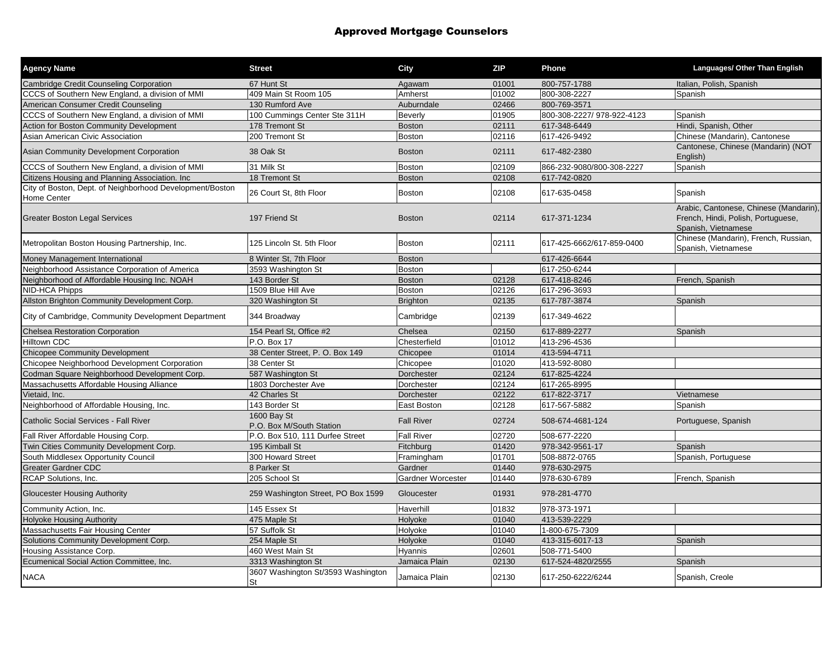# Approved Mortgage Counselors

| <b>Agency Name</b>                                                             | <b>Street</b>                            | City              | <b>ZIP</b> | Phone                     | Languages/ Other Than English                                                                       |
|--------------------------------------------------------------------------------|------------------------------------------|-------------------|------------|---------------------------|-----------------------------------------------------------------------------------------------------|
| <b>Cambridge Credit Counseling Corporation</b>                                 | 67 Hunt St                               | Agawam            | 01001      | 800-757-1788              | Italian, Polish, Spanish                                                                            |
| CCCS of Southern New England, a division of MMI                                | 409 Main St Room 105                     | Amherst           | 01002      | 800-308-2227              | Spanish                                                                                             |
| American Consumer Credit Counseling                                            | 130 Rumford Ave                          | Auburndale        | 02466      | 800-769-3571              |                                                                                                     |
| CCCS of Southern New England, a division of MMI                                | 100 Cummings Center Ste 311H             | <b>Beverly</b>    | 01905      | 800-308-2227/978-922-4123 | Spanish                                                                                             |
| Action for Boston Community Development                                        | 178 Tremont St                           | <b>Boston</b>     | 02111      | 617-348-6449              | Hindi, Spanish, Other                                                                               |
| Asian American Civic Association                                               | 200 Tremont St                           | <b>Boston</b>     | 02116      | 617-426-9492              | Chinese (Mandarin), Cantonese                                                                       |
| Asian Community Development Corporation                                        | 38 Oak St                                | <b>Boston</b>     | 02111      | 617-482-2380              | Cantonese, Chinese (Mandarin) (NOT<br>English)                                                      |
| CCCS of Southern New England, a division of MMI                                | 31 Milk St                               | <b>Boston</b>     | 02109      | 866-232-9080/800-308-2227 | Spanish                                                                                             |
| Citizens Housing and Planning Association. Inc.                                | 18 Tremont St                            | <b>Boston</b>     | 02108      | 617-742-0820              |                                                                                                     |
| City of Boston, Dept. of Neighborhood Development/Boston<br><b>Home Center</b> | 26 Court St, 8th Floor                   | <b>Boston</b>     | 02108      | 617-635-0458              | Spanish                                                                                             |
| <b>Greater Boston Legal Services</b>                                           | 197 Friend St                            | <b>Boston</b>     | 02114      | 617-371-1234              | Arabic, Cantonese, Chinese (Mandarin),<br>French, Hindi, Polish, Portuguese,<br>Spanish, Vietnamese |
| Metropolitan Boston Housing Partnership, Inc.                                  | 125 Lincoln St. 5th Floor                | Boston            | 02111      | 617-425-6662/617-859-0400 | Chinese (Mandarin), French, Russian,<br>Spanish, Vietnamese                                         |
| Money Management International                                                 | 8 Winter St, 7th Floor                   | <b>Boston</b>     |            | 617-426-6644              |                                                                                                     |
| Neighborhood Assistance Corporation of America                                 | 3593 Washington St                       | <b>Boston</b>     |            | 617-250-6244              |                                                                                                     |
| Neighborhood of Affordable Housing Inc. NOAH                                   | 143 Border St                            | <b>Boston</b>     | 02128      | 617-418-8246              | French, Spanish                                                                                     |
| <b>NID-HCA Phipps</b>                                                          | 1509 Blue Hill Ave                       | Boston            | 02126      | 617-296-3693              |                                                                                                     |
| Allston Brighton Community Development Corp.                                   | 320 Washington St                        | <b>Brighton</b>   | 02135      | 617-787-3874              | Spanish                                                                                             |
| City of Cambridge, Community Development Department                            | 344 Broadway                             | Cambridge         | 02139      | 617-349-4622              |                                                                                                     |
| <b>Chelsea Restoration Corporation</b>                                         | 154 Pearl St, Office #2                  | Chelsea           | 02150      | 617-889-2277              | Spanish                                                                                             |
| <b>Hilltown CDC</b>                                                            | P.O. Box 17                              | Chesterfield      | 01012      | 413-296-4536              |                                                                                                     |
| <b>Chicopee Community Development</b>                                          | 38 Center Street, P. O. Box 149          | Chicopee          | 01014      | 413-594-4711              |                                                                                                     |
| Chicopee Neighborhood Development Corporation                                  | 38 Center St                             | Chicopee          | 01020      | 413-592-8080              |                                                                                                     |
| Codman Square Neighborhood Development Corp.                                   | 587 Washington St                        | Dorchester        | 02124      | 617-825-4224              |                                                                                                     |
| Massachusetts Affordable Housing Alliance                                      | 1803 Dorchester Ave                      | Dorchester        | 02124      | 617-265-8995              |                                                                                                     |
| Vietaid, Inc.                                                                  | 42 Charles St                            | Dorchester        | 02122      | 617-822-3717              | Vietnamese                                                                                          |
| Neighborhood of Affordable Housing, Inc.                                       | 143 Border St                            | East Boston       | 02128      | 617-567-5882              | Spanish                                                                                             |
| Catholic Social Services - Fall River                                          | 1600 Bay St<br>P.O. Box M/South Station  | <b>Fall River</b> | 02724      | 508-674-4681-124          | Portuguese, Spanish                                                                                 |
| Fall River Affordable Housing Corp.                                            | P.O. Box 510, 111 Durfee Street          | <b>Fall River</b> | 02720      | 508-677-2220              |                                                                                                     |
| Twin Cities Community Development Corp.                                        | 195 Kimball St                           | Fitchburg         | 01420      | 978-342-9561-17           | Spanish                                                                                             |
| South Middlesex Opportunity Council                                            | 300 Howard Street                        | Framingham        | 01701      | 508-8872-0765             | Spanish, Portuguese                                                                                 |
| <b>Greater Gardner CDC</b>                                                     | 8 Parker St                              | Gardner           | 01440      | 978-630-2975              |                                                                                                     |
| RCAP Solutions, Inc.                                                           | 205 School St                            | Gardner Worcester | 01440      | 978-630-6789              | French, Spanish                                                                                     |
| <b>Gloucester Housing Authority</b>                                            | 259 Washington Street, PO Box 1599       | Gloucester        | 01931      | 978-281-4770              |                                                                                                     |
| Community Action, Inc.                                                         | 145 Essex St                             | Haverhill         | 01832      | 978-373-1971              |                                                                                                     |
| <b>Holyoke Housing Authority</b>                                               | 475 Maple St                             | Holyoke           | 01040      | 413-539-2229              |                                                                                                     |
| Massachusetts Fair Housing Center                                              | 57 Suffolk St                            | Holyoke           | 01040      | 1-800-675-7309            |                                                                                                     |
| Solutions Community Development Corp.                                          | 254 Maple St                             | Holyoke           | 01040      | 413-315-6017-13           | Spanish                                                                                             |
| Housing Assistance Corp.                                                       | 460 West Main St                         | Hyannis           | 02601      | 508-771-5400              |                                                                                                     |
| Ecumenical Social Action Committee, Inc.                                       | 3313 Washington St                       | Jamaica Plain     | 02130      | 617-524-4820/2555         | Spanish                                                                                             |
| <b>NACA</b>                                                                    | 3607 Washington St/3593 Washington<br>St | Jamaica Plain     | 02130      | 617-250-6222/6244         | Spanish, Creole                                                                                     |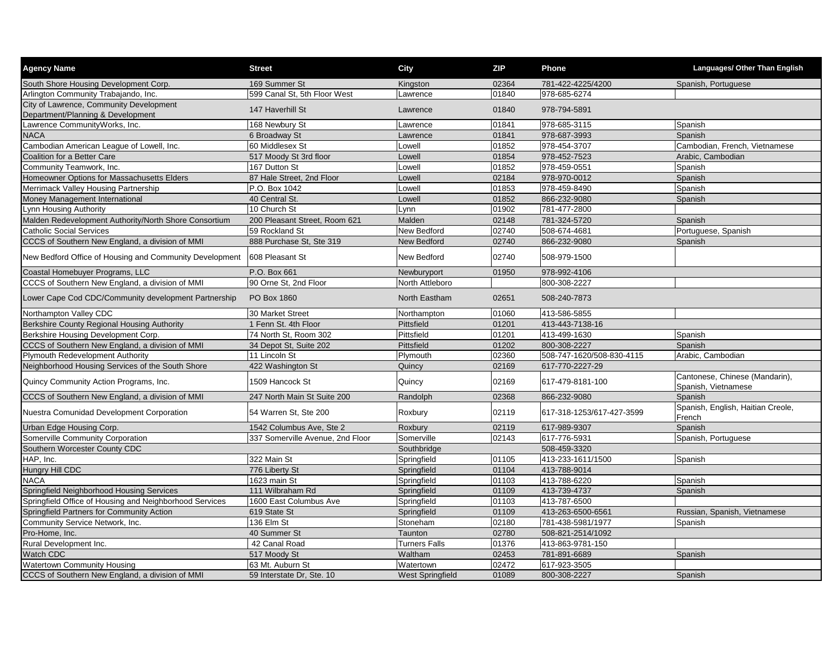| <b>Agency Name</b>                                                           | <b>Street</b>                    | City                    | <b>ZIP</b> | Phone                     | Languages/ Other Than English                         |
|------------------------------------------------------------------------------|----------------------------------|-------------------------|------------|---------------------------|-------------------------------------------------------|
| South Shore Housing Development Corp.                                        | 169 Summer St                    | Kingston                | 02364      | 781-422-4225/4200         | Spanish, Portuguese                                   |
| Arlington Community Trabajando, Inc.                                         | 599 Canal St, 5th Floor West     | Lawrence                | 01840      | 978-685-6274              |                                                       |
| City of Lawrence, Community Development<br>Department/Planning & Development | 147 Haverhill St                 | Lawrence                | 01840      | 978-794-5891              |                                                       |
| awrence CommunityWorks, Inc.                                                 | 168 Newbury St                   | Lawrence                | 01841      | 978-685-3115              | Spanish                                               |
| <b>NACA</b>                                                                  | 6 Broadway St                    | Lawrence                | 01841      | 978-687-3993              | Spanish                                               |
| Cambodian American League of Lowell, Inc.                                    | 60 Middlesex St                  | Lowell                  | 01852      | 978-454-3707              | Cambodian, French, Vietnamese                         |
| Coalition for a Better Care                                                  | 517 Moody St 3rd floor           | Lowell                  | 01854      | 978-452-7523              | Arabic, Cambodian                                     |
| Community Teamwork, Inc.                                                     | 167 Dutton St                    | Lowell                  | 01852      | 978-459-0551              | Spanish                                               |
| Homeowner Options for Massachusetts Elders                                   | 87 Hale Street, 2nd Floor        | Lowell                  | 02184      | 978-970-0012              | Spanish                                               |
| Merrimack Valley Housing Partnership                                         | P.O. Box 1042                    | Lowell                  | 01853      | 978-459-8490              | Spanish                                               |
| Money Management International                                               | 40 Central St.                   | Lowell                  | 01852      | 866-232-9080              | Spanish                                               |
| ynn Housing Authority                                                        | 10 Church St                     | Lynn                    | 01902      | 781-477-2800              |                                                       |
| Malden Redevelopment Authority/North Shore Consortium                        | 200 Pleasant Street, Room 621    | Malden                  | 02148      | 781-324-5720              | Spanish                                               |
| <b>Catholic Social Services</b>                                              | 59 Rockland St                   | New Bedford             | 02740      | 508-674-4681              | Portuguese, Spanish                                   |
| CCCS of Southern New England, a division of MMI                              | 888 Purchase St, Ste 319         | New Bedford             | 02740      | 866-232-9080              | Spanish                                               |
| New Bedford Office of Housing and Community Development                      | 608 Pleasant St                  | <b>New Bedford</b>      | 02740      | 508-979-1500              |                                                       |
| Coastal Homebuyer Programs, LLC                                              | P.O. Box 661                     | Newburyport             | 01950      | 978-992-4106              |                                                       |
| CCCS of Southern New England, a division of MMI                              | 90 Orne St. 2nd Floor            | North Attleboro         |            | 800-308-2227              |                                                       |
| Lower Cape Cod CDC/Community development Partnership                         | PO Box 1860                      | North Eastham           | 02651      | 508-240-7873              |                                                       |
| Northampton Valley CDC                                                       | 30 Market Street                 | Northampton             | 01060      | 413-586-5855              |                                                       |
| Berkshire County Regional Housing Authority                                  | 1 Fenn St. 4th Floor             | Pittsfield              | 01201      | 413-443-7138-16           |                                                       |
| Berkshire Housing Development Corp.                                          | 74 North St, Room 302            | Pittsfield              | 01201      | 413-499-1630              | Spanish                                               |
| CCCS of Southern New England, a division of MMI                              | 34 Depot St, Suite 202           | Pittsfield              | 01202      | 800-308-2227              | Spanish                                               |
| Plymouth Redevelopment Authority                                             | 11 Lincoln St                    | Plymouth                | 02360      | 508-747-1620/508-830-4115 | Arabic, Cambodian                                     |
| Neighborhood Housing Services of the South Shore                             | 422 Washington St                | Quincy                  | 02169      | 617-770-2227-29           |                                                       |
| Quincy Community Action Programs, Inc.                                       | 1509 Hancock St                  | Quincy                  | 02169      | 617-479-8181-100          | Cantonese, Chinese (Mandarin),<br>Spanish, Vietnamese |
| CCCS of Southern New England, a division of MMI                              | 247 North Main St Suite 200      | Randolph                | 02368      | 866-232-9080              | Spanish                                               |
| Nuestra Comunidad Development Corporation                                    | 54 Warren St, Ste 200            | Roxbury                 | 02119      | 617-318-1253/617-427-3599 | Spanish, English, Haitian Creole,<br>French           |
| Urban Edge Housing Corp.                                                     | 1542 Columbus Ave, Ste 2         | Roxbury                 | 02119      | 617-989-9307              | Spanish                                               |
| Somerville Community Corporation                                             | 337 Somerville Avenue, 2nd Floor | Somerville              | 02143      | 617-776-5931              | Spanish, Portuguese                                   |
| Southern Worcester County CDC                                                |                                  | Southbridge             |            | 508-459-3320              |                                                       |
| HAP, Inc.                                                                    | 322 Main St                      | Springfield             | 01105      | 413-233-1611/1500         | Spanish                                               |
| Hungry Hill CDC                                                              | 776 Liberty St                   | Springfield             | 01104      | 413-788-9014              |                                                       |
| <b>NACA</b>                                                                  | 1623 main St                     | Springfield             | 01103      | 413-788-6220              | Spanish                                               |
| Springfield Neighborhood Housing Services                                    | 111 Wilbraham Rd                 | Springfield             | 01109      | 413-739-4737              | Spanish                                               |
| Springfield Office of Housing and Neighborhood Services                      | 1600 East Columbus Ave           | Springfield             | 01103      | 413-787-6500              |                                                       |
| Springfield Partners for Community Action                                    | 619 State St                     | Springfield             | 01109      | 413-263-6500-6561         | Russian, Spanish, Vietnamese                          |
| Community Service Network, Inc.                                              | 136 Elm St                       | Stoneham                | 02180      | 781-438-5981/1977         | Spanish                                               |
| Pro-Home, Inc.                                                               | 40 Summer St                     | Taunton                 | 02780      | 508-821-2514/1092         |                                                       |
| Rural Development Inc.                                                       | 42 Canal Road                    | <b>Turners Falls</b>    | 01376      | 413-863-9781-150          |                                                       |
| Watch CDC                                                                    | 517 Moody St                     | Waltham                 | 02453      | 781-891-6689              | Spanish                                               |
| <b>Watertown Community Housing</b>                                           | 63 Mt. Auburn St                 | Watertown               | 02472      | 617-923-3505              |                                                       |
| CCCS of Southern New England, a division of MMI                              | 59 Interstate Dr, Ste. 10        | <b>West Springfield</b> | 01089      | 800-308-2227              | Spanish                                               |